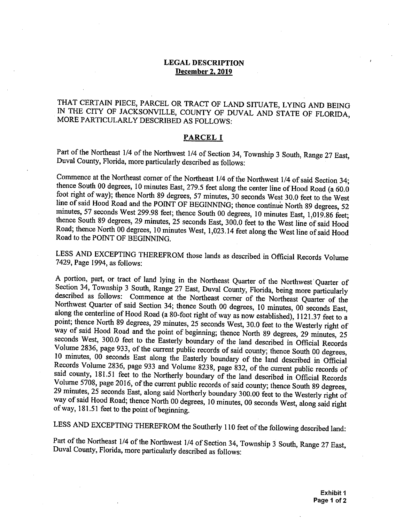## **LEGAL DESCRIPTION December 2.2019**

## THAT CERTAIN PIECE, PARCEL OR TRACT OF LAND SITUATE, LYING AND BEING IN THE CITY OF JACKSONVILLE, COUNTY OF DUVAL AND STATE OF FLORIDA, MORE PARTICULARLY DESCRIBED AS FOLLOWS:

## **PARCEL I**

Part of the Northeast 1/4 of the Northwest 1/4 of Section 34, Township 3 South, Range 27 East, Duval County, Florida, more particularly described as follows:

Commence at the Northeast corner of the Northeast  $1/4$  of the Northwest  $1/4$  of said Section 34; thence South 00 degrees, 10 minutes East, 279.5 feet along the center line of Hood Road (a 60.0) foot right of way); thence North 89 degrees, 57 minutes, 30 seconds West 30.0 feet to the West line of said Hood Road and the POINT OF BEGINNING; thence continue North 89 degrees, 52 minutes, 57 seconds West 299.98 feet; thence South 00 degrees, 10 minutes East, 1,019.86 feet; Road to the POINT OF BEGINNING. thence South 89 degrees, 29 minutes, 25 seconds East, 300.0 feet to the West line of said Hood Road; thence North 00 degrees, 10 minutes West, 1,023.14 feet along the West line of said Hood

 LESS AND EXCEPTING THEREFROM those lands as described in Official Records Volume 7429, Page 1994, as follows:

A portion, part, or tract of land lying in the Northeast Quarter of the Northwest Quarter of Section 34, Township 3 South, Range 27 East, Duval County, Florida, being more particularly described as follows: Commence at the Northeast corner of the Northeast Quarter of the Northwest Quarter of said Section 34; thence South 00 degrees, 10 minutes, 00 seconds East, along the centerline of Hood Road (a 80-foot right of way as now established),  $1121.37$  feet to a point; thence North 89 degrees, 29 minutes, 25 seconds West, 30.0 feet to the Westerly right of seconds West, 300.0 feet to the Easterly boundary of the land described in Official Records Volume 2836, page 933, of the current public records of said county; thence South 00 degrees, <sup>10</sup>minutes, 00 seconds East along the Easterly boundary of the land described in Official Records Volume 2836, page 933 and Volume 8238, page 832, of the current public records of said county, 181.51 feet to the Northerly boundary of the land described in Official Records Volume 5708, page 2016, of the current public records of said county; thence South 89 degrees, 29 minutes, 25 seconds East, along said Northerly boundary 300.00 feet to the Westerly right of way of said Hood Road; thence North 00 degrees, 10 minutes, 00 seconds West, along said right of way, 181.51 feet to the point of beginning. way of said Hood Road and the point of beginning; thence North 89 degrees, 29 minutes, <sup>25</sup>

LESS AND EXCEPTING THEREFROM the Southerly 110 feet of the following described land:

Part of the Northeast 1/4 of the Northwest 1/4 of Section 34, Township 3 South, Range 27 East, Duval County, Florida, more particularly described as follows: